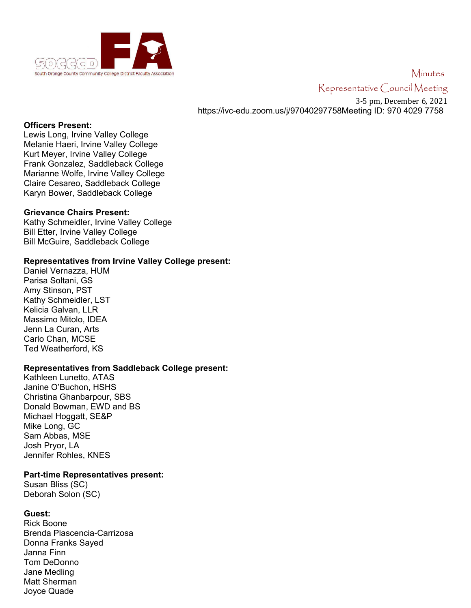

# Minutes Representative Council Meeting

3-5 pm, December 6, 2021 https://ivc-edu.zoom.us/j/97040297758Meeting ID: 970 4029 7758

#### **Officers Present:**

Lewis Long, Irvine Valley College Melanie Haeri, Irvine Valley College Kurt Meyer, Irvine Valley College Frank Gonzalez, Saddleback College Marianne Wolfe, Irvine Valley College Claire Cesareo, Saddleback College Karyn Bower, Saddleback College

## **Grievance Chairs Present:**

Kathy Schmeidler, Irvine Valley College Bill Etter, Irvine Valley College Bill McGuire, Saddleback College

## **Representatives from Irvine Valley College present:**

Daniel Vernazza, HUM Parisa Soltani, GS Amy Stinson, PST Kathy Schmeidler, LST Kelicia Galvan, LLR Massimo Mitolo, IDEA Jenn La Curan, Arts Carlo Chan, MCSE Ted Weatherford, KS

## **Representatives from Saddleback College present:**

Kathleen Lunetto, ATAS Janine O'Buchon, HSHS Christina Ghanbarpour, SBS Donald Bowman, EWD and BS Michael Hoggatt, SE&P Mike Long, GC Sam Abbas, MSE Josh Pryor, LA Jennifer Rohles, KNES

#### **Part-time Representatives present:**

Susan Bliss (SC) Deborah Solon (SC)

## **Guest:**

Rick Boone Brenda Plascencia-Carrizosa Donna Franks Sayed Janna Finn Tom DeDonno Jane Medling Matt Sherman Joyce Quade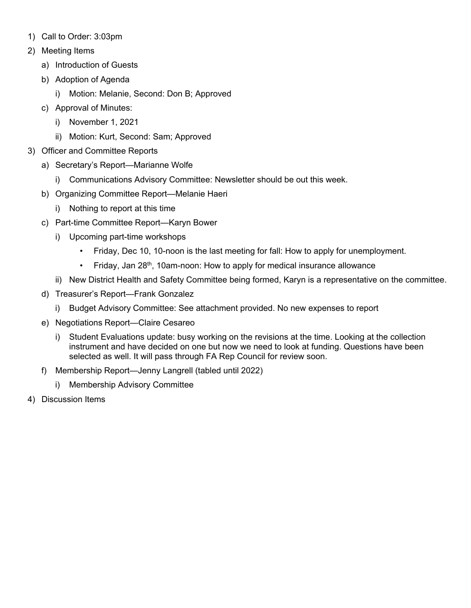- 1) Call to Order: 3:03pm
- 2) Meeting Items
	- a) Introduction of Guests
	- b) Adoption of Agenda
		- i) Motion: Melanie, Second: Don B; Approved
	- c) Approval of Minutes:
		- i) November 1, 2021
		- ii) Motion: Kurt, Second: Sam; Approved
- 3) Officer and Committee Reports
	- a) Secretary's Report—Marianne Wolfe
		- i) Communications Advisory Committee: Newsletter should be out this week.
	- b) Organizing Committee Report—Melanie Haeri
		- i) Nothing to report at this time
	- c) Part-time Committee Report—Karyn Bower
		- i) Upcoming part-time workshops
			- Friday, Dec 10, 10-noon is the last meeting for fall: How to apply for unemployment.
			- Friday, Jan 28<sup>th</sup>, 10am-noon: How to apply for medical insurance allowance
		- ii) New District Health and Safety Committee being formed, Karyn is a representative on the committee.
	- d) Treasurer's Report—Frank Gonzalez
		- i) Budget Advisory Committee: See attachment provided. No new expenses to report
	- e) Negotiations Report—Claire Cesareo
		- i) Student Evaluations update: busy working on the revisions at the time. Looking at the collection instrument and have decided on one but now we need to look at funding. Questions have been selected as well. It will pass through FA Rep Council for review soon.
	- f) Membership Report—Jenny Langrell (tabled until 2022)
		- i) Membership Advisory Committee
- 4) Discussion Items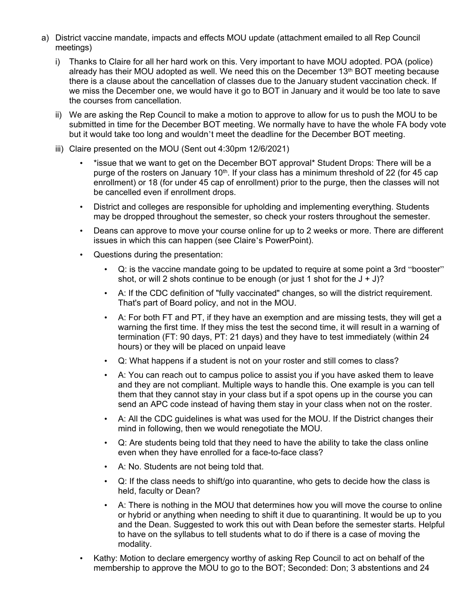- a) District vaccine mandate, impacts and effects MOU update (attachment emailed to all Rep Council meetings)
	- i) Thanks to Claire for all her hard work on this. Very important to have MOU adopted. POA (police) already has their MOU adopted as well. We need this on the December  $13<sup>th</sup>$  BOT meeting because there is a clause about the cancellation of classes due to the January student vaccination check. If we miss the December one, we would have it go to BOT in January and it would be too late to save the courses from cancellation.
	- ii) We are asking the Rep Council to make a motion to approve to allow for us to push the MOU to be submitted in time for the December BOT meeting. We normally have to have the whole FA body vote but it would take too long and wouldn't meet the deadline for the December BOT meeting.
	- iii) Claire presented on the MOU (Sent out 4:30pm 12/6/2021)
		- \*issue that we want to get on the December BOT approval\* Student Drops: There will be a purge of the rosters on January  $10<sup>th</sup>$ . If your class has a minimum threshold of 22 (for 45 cap enrollment) or 18 (for under 45 cap of enrollment) prior to the purge, then the classes will not be cancelled even if enrollment drops.
		- District and colleges are responsible for upholding and implementing everything. Students may be dropped throughout the semester, so check your rosters throughout the semester.
		- Deans can approve to move your course online for up to 2 weeks or more. There are different issues in which this can happen (see Claire's PowerPoint).
		- Questions during the presentation:
			- Q: is the vaccine mandate going to be updated to require at some point a 3rd "booster" shot, or will 2 shots continue to be enough (or just 1 shot for the  $J + J$ )?
			- A: If the CDC definition of "fully vaccinated" changes, so will the district requirement. That's part of Board policy, and not in the MOU.
			- A: For both FT and PT, if they have an exemption and are missing tests, they will get a warning the first time. If they miss the test the second time, it will result in a warning of termination (FT: 90 days, PT: 21 days) and they have to test immediately (within 24 hours) or they will be placed on unpaid leave
			- Q: What happens if a student is not on your roster and still comes to class?
			- A: You can reach out to campus police to assist you if you have asked them to leave and they are not compliant. Multiple ways to handle this. One example is you can tell them that they cannot stay in your class but if a spot opens up in the course you can send an APC code instead of having them stay in your class when not on the roster.
			- A: All the CDC guidelines is what was used for the MOU. If the District changes their mind in following, then we would renegotiate the MOU.
			- Q: Are students being told that they need to have the ability to take the class online even when they have enrolled for a face-to-face class?
			- A: No. Students are not being told that.
			- Q: If the class needs to shift/go into quarantine, who gets to decide how the class is held, faculty or Dean?
			- A: There is nothing in the MOU that determines how you will move the course to online or hybrid or anything when needing to shift it due to quarantining. It would be up to you and the Dean. Suggested to work this out with Dean before the semester starts. Helpful to have on the syllabus to tell students what to do if there is a case of moving the modality.
		- Kathy: Motion to declare emergency worthy of asking Rep Council to act on behalf of the membership to approve the MOU to go to the BOT; Seconded: Don; 3 abstentions and 24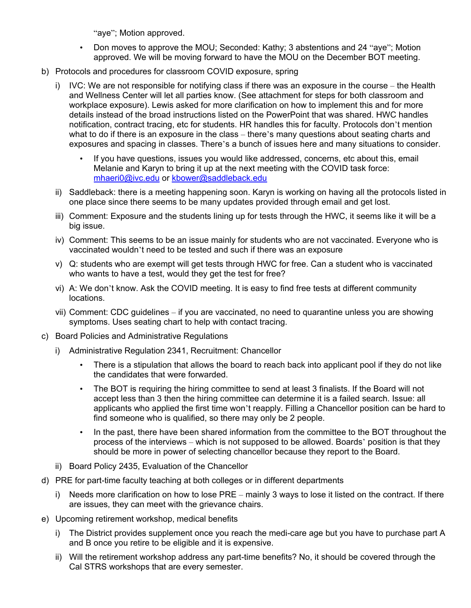"aye"; Motion approved.

- Don moves to approve the MOU; Seconded: Kathy; 3 abstentions and 24 "aye"; Motion approved. We will be moving forward to have the MOU on the December BOT meeting.
- b) Protocols and procedures for classroom COVID exposure, spring
	- i) IVC: We are not responsible for notifying class if there was an exposure in the course the Health and Wellness Center will let all parties know. (See attachment for steps for both classroom and workplace exposure). Lewis asked for more clarification on how to implement this and for more details instead of the broad instructions listed on the PowerPoint that was shared. HWC handles notification, contract tracing, etc for students. HR handles this for faculty. Protocols don't mention what to do if there is an exposure in the class – there's many questions about seating charts and exposures and spacing in classes. There's a bunch of issues here and many situations to consider.
		- If you have questions, issues you would like addressed, concerns, etc about this, email Melanie and Karyn to bring it up at the next meeting with the COVID task force: [mhaeri0@ivc.edu](mailto:mhaeri0@ivc.edu) or [kbower@saddleback.edu](mailto:kbower@saddleback.edu)
	- ii) Saddleback: there is a meeting happening soon. Karyn is working on having all the protocols listed in one place since there seems to be many updates provided through email and get lost.
	- iii) Comment: Exposure and the students lining up for tests through the HWC, it seems like it will be a big issue.
	- iv) Comment: This seems to be an issue mainly for students who are not vaccinated. Everyone who is vaccinated wouldn't need to be tested and such if there was an exposure
	- v) Q: students who are exempt will get tests through HWC for free. Can a student who is vaccinated who wants to have a test, would they get the test for free?
	- vi) A: We don't know. Ask the COVID meeting. It is easy to find free tests at different community locations.
	- vii) Comment: CDC guidelines if you are vaccinated, no need to quarantine unless you are showing symptoms. Uses seating chart to help with contact tracing.
- c) Board Policies and Administrative Regulations
	- i) Administrative Regulation 2341, Recruitment: Chancellor
		- There is a stipulation that allows the board to reach back into applicant pool if they do not like the candidates that were forwarded.
		- The BOT is requiring the hiring committee to send at least 3 finalists. If the Board will not accept less than 3 then the hiring committee can determine it is a failed search. Issue: all applicants who applied the first time won't reapply. Filling a Chancellor position can be hard to find someone who is qualified, so there may only be 2 people.
		- In the past, there have been shared information from the committee to the BOT throughout the process of the interviews – which is not supposed to be allowed. Boards' position is that they should be more in power of selecting chancellor because they report to the Board.
	- ii) Board Policy 2435, Evaluation of the Chancellor
- d) PRE for part-time faculty teaching at both colleges or in different departments
	- i) Needs more clarification on how to lose PRE mainly 3 ways to lose it listed on the contract. If there are issues, they can meet with the grievance chairs.
- e) Upcoming retirement workshop, medical benefits
	- i) The District provides supplement once you reach the medi-care age but you have to purchase part A and B once you retire to be eligible and it is expensive.
	- ii) Will the retirement workshop address any part-time benefits? No, it should be covered through the Cal STRS workshops that are every semester.